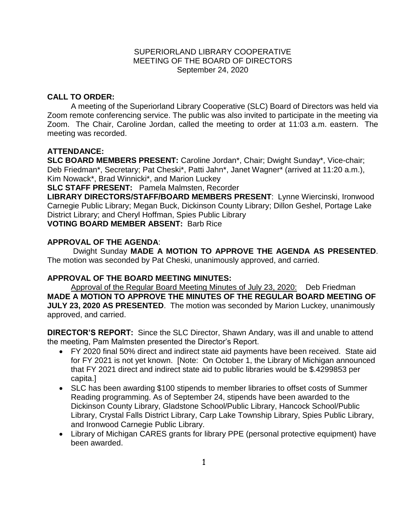### SUPERIORLAND LIBRARY COOPERATIVE MEETING OF THE BOARD OF DIRECTORS September 24, 2020

# **CALL TO ORDER:**

A meeting of the Superiorland Library Cooperative (SLC) Board of Directors was held via Zoom remote conferencing service. The public was also invited to participate in the meeting via Zoom. The Chair, Caroline Jordan, called the meeting to order at 11:03 a.m. eastern. The meeting was recorded.

# **ATTENDANCE:**

**SLC BOARD MEMBERS PRESENT:** Caroline Jordan\*, Chair; Dwight Sunday\*, Vice-chair; Deb Friedman\*, Secretary; Pat Cheski\*, Patti Jahn\*, Janet Wagner\* (arrived at 11:20 a.m.), Kim Nowack\*, Brad Winnicki\*, and Marion Luckey

**SLC STAFF PRESENT:** Pamela Malmsten, Recorder

**LIBRARY DIRECTORS/STAFF/BOARD MEMBERS PRESENT**: Lynne Wiercinski, Ironwood Carnegie Public Library; Megan Buck, Dickinson County Library; Dillon Geshel, Portage Lake District Library; and Cheryl Hoffman, Spies Public Library

**VOTING BOARD MEMBER ABSENT:** Barb Rice

# **APPROVAL OF THE AGENDA**:

Dwight Sunday **MADE A MOTION TO APPROVE THE AGENDA AS PRESENTED**. The motion was seconded by Pat Cheski, unanimously approved, and carried.

## **APPROVAL OF THE BOARD MEETING MINUTES:**

Approval of the Regular Board Meeting Minutes of July 23, 2020: Deb Friedman **MADE A MOTION TO APPROVE THE MINUTES OF THE REGULAR BOARD MEETING OF JULY 23, 2020 AS PRESENTED**.The motion was seconded by Marion Luckey, unanimously approved, and carried.

**DIRECTOR'S REPORT:** Since the SLC Director, Shawn Andary, was ill and unable to attend the meeting, Pam Malmsten presented the Director's Report.

- FY 2020 final 50% direct and indirect state aid payments have been received. State aid for FY 2021 is not yet known. [Note: On October 1, the Library of Michigan announced that FY 2021 direct and indirect state aid to public libraries would be \$.4299853 per capita.]
- SLC has been awarding \$100 stipends to member libraries to offset costs of Summer Reading programming. As of September 24, stipends have been awarded to the Dickinson County Library, Gladstone School/Public Library, Hancock School/Public Library, Crystal Falls District Library, Carp Lake Township Library, Spies Public Library, and Ironwood Carnegie Public Library.
- Library of Michigan CARES grants for library PPE (personal protective equipment) have been awarded.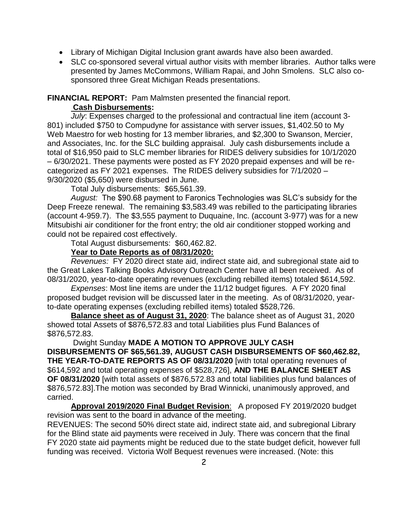- Library of Michigan Digital Inclusion grant awards have also been awarded.
- SLC co-sponsored several virtual author visits with member libraries. Author talks were presented by James McCommons, William Rapai, and John Smolens. SLC also cosponsored three Great Michigan Reads presentations.

**FINANCIAL REPORT:** Pam Malmsten presented the financial report.

# **Cash Disbursements:**

*July*: Expenses charged to the professional and contractual line item (account 3- 801) included \$750 to Compudyne for assistance with server issues, \$1,402.50 to My Web Maestro for web hosting for 13 member libraries, and \$2,300 to Swanson, Mercier, and Associates, Inc. for the SLC building appraisal. July cash disbursements include a total of \$16,950 paid to SLC member libraries for RIDES delivery subsidies for 10/1/2020 – 6/30/2021. These payments were posted as FY 2020 prepaid expenses and will be recategorized as FY 2021 expenses. The RIDES delivery subsidies for 7/1/2020 – 9/30/2020 (\$5,650) were disbursed in June.

Total July disbursements: \$65,561.39.

*August:* The \$90.68 payment to Faronics Technologies was SLC's subsidy for the Deep Freeze renewal. The remaining \$3,583.49 was rebilled to the participating libraries (account 4-959.7). The \$3,555 payment to Duquaine, Inc. (account 3-977) was for a new Mitsubishi air conditioner for the front entry; the old air conditioner stopped working and could not be repaired cost effectively.

Total August disbursements: \$60,462.82.

## **Year to Date Reports as of 08/31/2020:**

*Revenues:* FY 2020 direct state aid, indirect state aid, and subregional state aid to the Great Lakes Talking Books Advisory Outreach Center have all been received. As of 08/31/2020, year-to-date operating revenues (excluding rebilled items) totaled \$614,592.

*Expenses*: Most line items are under the 11/12 budget figures. A FY 2020 final proposed budget revision will be discussed later in the meeting. As of 08/31/2020, yearto-date operating expenses (excluding rebilled items) totaled \$528,726.

**Balance sheet as of August 31, 2020**: The balance sheet as of August 31, 2020 showed total Assets of \$876,572.83 and total Liabilities plus Fund Balances of \$876,572.83.

### Dwight Sunday **MADE A MOTION TO APPROVE JULY CASH**

**DISBURSEMENTS OF \$65,561.39, AUGUST CASH DISBURSEMENTS OF \$60,462.82, THE YEAR-TO-DATE REPORTS AS OF 08/31/2020** [with total operating revenues of \$614,592 and total operating expenses of \$528,726], **AND THE BALANCE SHEET AS OF 08/31/2020** [with total assets of \$876,572.83 and total liabilities plus fund balances of \$876,572.83].The motion was seconded by Brad Winnicki, unanimously approved, and carried.

**Approval 2019/2020 Final Budget Revision**: A proposed FY 2019/2020 budget revision was sent to the board in advance of the meeting.

REVENUES: The second 50% direct state aid, indirect state aid, and subregional Library for the Blind state aid payments were received in July. There was concern that the final FY 2020 state aid payments might be reduced due to the state budget deficit, however full funding was received. Victoria Wolf Bequest revenues were increased. (Note: this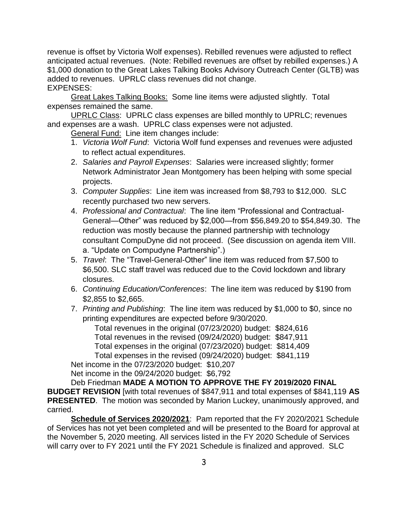revenue is offset by Victoria Wolf expenses). Rebilled revenues were adjusted to reflect anticipated actual revenues. (Note: Rebilled revenues are offset by rebilled expenses.) A \$1,000 donation to the Great Lakes Talking Books Advisory Outreach Center (GLTB) was added to revenues. UPRLC class revenues did not change. EXPENSES:

Great Lakes Talking Books: Some line items were adjusted slightly. Total expenses remained the same.

UPRLC Class: UPRLC class expenses are billed monthly to UPRLC; revenues and expenses are a wash. UPRLC class expenses were not adjusted.

General Fund: Line item changes include:

- 1. *Victoria Wolf Fund*: Victoria Wolf fund expenses and revenues were adjusted to reflect actual expenditures.
- 2. *Salaries and Payroll Expenses*: Salaries were increased slightly; former Network Administrator Jean Montgomery has been helping with some special projects.
- 3. *Computer Supplies*: Line item was increased from \$8,793 to \$12,000. SLC recently purchased two new servers.
- 4. *Professional and Contractual*: The line item "Professional and Contractual-General—Other" was reduced by \$2,000—from \$56,849.20 to \$54,849.30. The reduction was mostly because the planned partnership with technology consultant CompuDyne did not proceed. (See discussion on agenda item VIII. a. "Update on Compudyne Partnership".)
- 5. *Travel*: The "Travel-General-Other" line item was reduced from \$7,500 to \$6,500. SLC staff travel was reduced due to the Covid lockdown and library closures.
- 6. *Continuing Education/Conferences*: The line item was reduced by \$190 from \$2,855 to \$2,665.
- 7. *Printing and Publishing*: The line item was reduced by \$1,000 to \$0, since no printing expenditures are expected before 9/30/2020.

Total revenues in the original (07/23/2020) budget: \$824,616 Total revenues in the revised (09/24/2020) budget: \$847,911 Total expenses in the original (07/23/2020) budget: \$814,409 Total expenses in the revised (09/24/2020) budget: \$841,119 Net income in the 07/23/2020 budget: \$10,207

Net income in the 09/24/2020 budget: \$6,792

Deb Friedman **MADE A MOTION TO APPROVE THE FY 2019/2020 FINAL BUDGET REVISION** [with total revenues of \$847,911 and total expenses of \$841,119 **AS PRESENTED**.The motion was seconded by Marion Luckey, unanimously approved, and carried.

**Schedule of Services 2020/2021**: Pam reported that the FY 2020/2021 Schedule of Services has not yet been completed and will be presented to the Board for approval at the November 5, 2020 meeting. All services listed in the FY 2020 Schedule of Services will carry over to FY 2021 until the FY 2021 Schedule is finalized and approved. SLC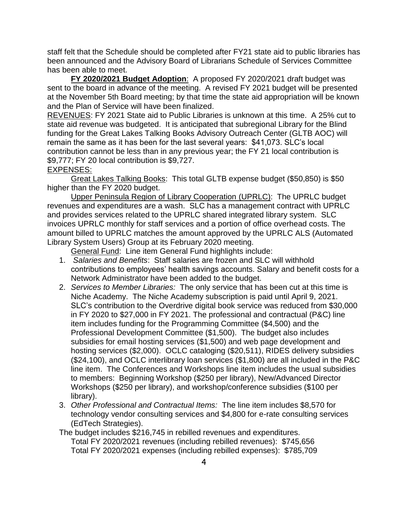staff felt that the Schedule should be completed after FY21 state aid to public libraries has been announced and the Advisory Board of Librarians Schedule of Services Committee has been able to meet.

**FY 2020/2021 Budget Adoption**: A proposed FY 2020/2021 draft budget was sent to the board in advance of the meeting. A revised FY 2021 budget will be presented at the November 5th Board meeting; by that time the state aid appropriation will be known and the Plan of Service will have been finalized.

REVENUES: FY 2021 State aid to Public Libraries is unknown at this time. A 25% cut to state aid revenue was budgeted. It is anticipated that subregional Library for the Blind funding for the Great Lakes Talking Books Advisory Outreach Center (GLTB AOC) will remain the same as it has been for the last several years: \$41,073. SLC's local contribution cannot be less than in any previous year; the FY 21 local contribution is \$9,777; FY 20 local contribution is \$9,727.

EXPENSES:

Great Lakes Talking Books: This total GLTB expense budget (\$50,850) is \$50 higher than the FY 2020 budget.

Upper Peninsula Region of Library Cooperation (UPRLC): The UPRLC budget revenues and expenditures are a wash. SLC has a management contract with UPRLC and provides services related to the UPRLC shared integrated library system. SLC invoices UPRLC monthly for staff services and a portion of office overhead costs. The amount billed to UPRLC matches the amount approved by the UPRLC ALS (Automated Library System Users) Group at its February 2020 meeting.

General Fund: Line item General Fund highlights include:

- 1. *Salaries and Benefits*: Staff salaries are frozen and SLC will withhold contributions to employees' health savings accounts. Salary and benefit costs for a Network Administrator have been added to the budget.
- 2. *Services to Member Libraries:* The only service that has been cut at this time is Niche Academy. The Niche Academy subscription is paid until April 9, 2021. SLC's contribution to the Overdrive digital book service was reduced from \$30,000 in FY 2020 to \$27,000 in FY 2021. The professional and contractual (P&C) line item includes funding for the Programming Committee (\$4,500) and the Professional Development Committee (\$1,500). The budget also includes subsidies for email hosting services (\$1,500) and web page development and hosting services (\$2,000). OCLC cataloging (\$20,511), RIDES delivery subsidies (\$24,100), and OCLC interlibrary loan services (\$1,800) are all included in the P&C line item. The Conferences and Workshops line item includes the usual subsidies to members: Beginning Workshop (\$250 per library), New/Advanced Director Workshops (\$250 per library), and workshop/conference subsidies (\$100 per library).
- 3. *Other Professional and Contractual Items:* The line item includes \$8,570 for technology vendor consulting services and \$4,800 for e-rate consulting services (EdTech Strategies).

The budget includes \$216,745 in rebilled revenues and expenditures.

Total FY 2020/2021 revenues (including rebilled revenues): \$745,656 Total FY 2020/2021 expenses (including rebilled expenses): \$785,709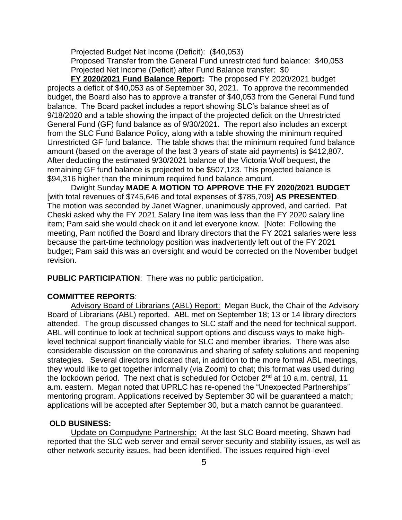Projected Budget Net Income (Deficit): (\$40,053) Proposed Transfer from the General Fund unrestricted fund balance: \$40,053 Projected Net Income (Deficit) after Fund Balance transfer: \$0

**FY 2020/2021 Fund Balance Report:** The proposed FY 2020/2021 budget projects a deficit of \$40,053 as of September 30, 2021. To approve the recommended budget, the Board also has to approve a transfer of \$40,053 from the General Fund fund balance. The Board packet includes a report showing SLC's balance sheet as of 9/18/2020 and a table showing the impact of the projected deficit on the Unrestricted General Fund (GF) fund balance as of 9/30/2021. The report also includes an excerpt from the SLC Fund Balance Policy, along with a table showing the minimum required Unrestricted GF fund balance. The table shows that the minimum required fund balance amount (based on the average of the last 3 years of state aid payments) is \$412,807. After deducting the estimated 9/30/2021 balance of the Victoria Wolf bequest, the remaining GF fund balance is projected to be \$507,123. This projected balance is \$94,316 higher than the minimum required fund balance amount.

Dwight Sunday **MADE A MOTION TO APPROVE THE FY 2020/2021 BUDGET**  [with total revenues of \$745,646 and total expenses of \$785,709] **AS PRESENTED**. The motion was seconded by Janet Wagner, unanimously approved, and carried. Pat Cheski asked why the FY 2021 Salary line item was less than the FY 2020 salary line item; Pam said she would check on it and let everyone know. [Note: Following the meeting, Pam notified the Board and library directors that the FY 2021 salaries were less because the part-time technology position was inadvertently left out of the FY 2021 budget; Pam said this was an oversight and would be corrected on the November budget revision.

**PUBLIC PARTICIPATION**: There was no public participation.

## **COMMITTEE REPORTS**:

Advisory Board of Librarians (ABL) Report: Megan Buck, the Chair of the Advisory Board of Librarians (ABL) reported. ABL met on September 18; 13 or 14 library directors attended. The group discussed changes to SLC staff and the need for technical support. ABL will continue to look at technical support options and discuss ways to make highlevel technical support financially viable for SLC and member libraries. There was also considerable discussion on the coronavirus and sharing of safety solutions and reopening strategies. Several directors indicated that, in addition to the more formal ABL meetings, they would like to get together informally (via Zoom) to chat; this format was used during the lockdown period. The next chat is scheduled for October 2<sup>nd</sup> at 10 a.m. central, 11 a.m. eastern. Megan noted that UPRLC has re-opened the "Unexpected Partnerships" mentoring program. Applications received by September 30 will be guaranteed a match; applications will be accepted after September 30, but a match cannot be guaranteed.

### **OLD BUSINESS:**

Update on Compudyne Partnership: At the last SLC Board meeting, Shawn had reported that the SLC web server and email server security and stability issues, as well as other network security issues, had been identified. The issues required high-level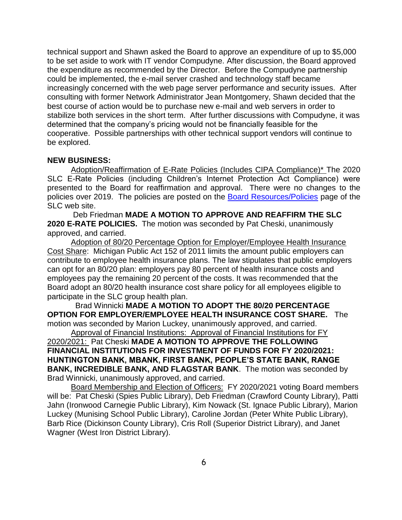technical support and Shawn asked the Board to approve an expenditure of up to \$5,000 to be set aside to work with IT vendor Compudyne. After discussion, the Board approved the expenditure as recommended by the Director. Before the Compudyne partnership could be implemented, the e-mail server crashed and technology staff became increasingly concerned with the web page server performance and security issues. After consulting with former Network Administrator Jean Montgomery, Shawn decided that the best course of action would be to purchase new e-mail and web servers in order to stabilize both services in the short term. After further discussions with Compudyne, it was determined that the company's pricing would not be financially feasible for the cooperative. Possible partnerships with other technical support vendors will continue to be explored.

#### **NEW BUSINESS:**

Adoption/Reaffirmation of E-Rate Policies (Includes CIPA Compliance)\* The 2020 SLC E-Rate Policies (including Children's Internet Protection Act Compliance) were presented to the Board for reaffirmation and approval. There were no changes to the policies over 2019. The policies are posted on the [Board Resources/Policies](http://joomla.uproc.lib.mi.us/SLC/index.php?option=com_content&view=article&id=53&Itemid=79) page of the SLC web site.

Deb Friedman **MADE A MOTION TO APPROVE AND REAFFIRM THE SLC 2020 E-RATE POLICIES.** The motion was seconded by Pat Cheski, unanimously approved, and carried.

Adoption of 80/20 Percentage Option for Employer/Employee Health Insurance Cost Share: Michigan Public Act 152 of 2011 limits the amount public employers can contribute to employee health insurance plans. The law stipulates that public employers can opt for an 80/20 plan: employers pay 80 percent of health insurance costs and employees pay the remaining 20 percent of the costs. It was recommended that the Board adopt an 80/20 health insurance cost share policy for all employees eligible to participate in the SLC group health plan.

 Brad Winnicki **MADE A MOTION TO ADOPT THE 80/20 PERCENTAGE OPTION FOR EMPLOYER/EMPLOYEE HEALTH INSURANCE COST SHARE.** The motion was seconded by Marion Luckey, unanimously approved, and carried. Approval of Financial Institutions: Approval of Financial Institutions for FY

2020/2021: Pat Cheski **MADE A MOTION TO APPROVE THE FOLLOWING FINANCIAL INSTITUTIONS FOR INVESTMENT OF FUNDS FOR FY 2020/2021: HUNTINGTON BANK, MBANK, FIRST BANK, PEOPLE'S STATE BANK, RANGE BANK, INCREDIBLE BANK, AND FLAGSTAR BANK**. The motion was seconded by Brad Winnicki, unanimously approved, and carried.

Board Membership and Election of Officers: FY 2020/2021 voting Board members will be: Pat Cheski (Spies Public Library), Deb Friedman (Crawford County Library), Patti Jahn (Ironwood Carnegie Public Library), Kim Nowack (St. Ignace Public Library), Marion Luckey (Munising School Public Library), Caroline Jordan (Peter White Public Library), Barb Rice (Dickinson County Library), Cris Roll (Superior District Library), and Janet Wagner (West Iron District Library).